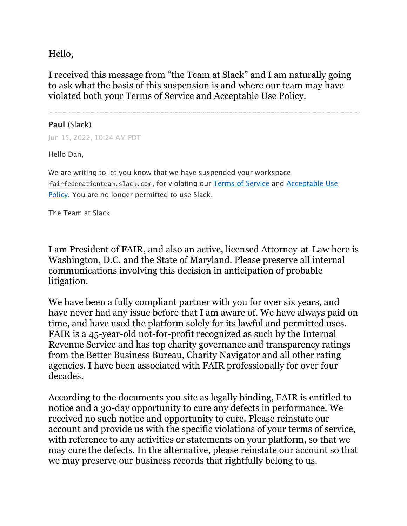Hello,

I received this message from "the Team at Slack" and I am naturally going to ask what the basis of this suspension is and where our team may have violated both your Terms of Service and Acceptable Use Policy.

## **Paul** (Slack)

Jun 15, 2022, 10:24 AM PDT

Hello Dan,

We are writing to let you know that we have suspended your workspace fairfederationteam.slack.com, for violating our Terms of Service and Acceptable Use Policy. You are no longer permitted to use Slack.

The Team at Slack

I am President of FAIR, and also an active, licensed Attorney-at-Law here is Washington, D.C. and the State of Maryland. Please preserve all internal communications involving this decision in anticipation of probable litigation.

We have been a fully compliant partner with you for over six years, and have never had any issue before that I am aware of. We have always paid on time, and have used the platform solely for its lawful and permitted uses. FAIR is a 45-year-old not-for-profit recognized as such by the Internal Revenue Service and has top charity governance and transparency ratings from the Better Business Bureau, Charity Navigator and all other rating agencies. I have been associated with FAIR professionally for over four decades.

According to the documents you site as legally binding, FAIR is entitled to notice and a 30-day opportunity to cure any defects in performance. We received no such notice and opportunity to cure. Please reinstate our account and provide us with the specific violations of your terms of service, with reference to any activities or statements on your platform, so that we may cure the defects. In the alternative, please reinstate our account so that we may preserve our business records that rightfully belong to us.